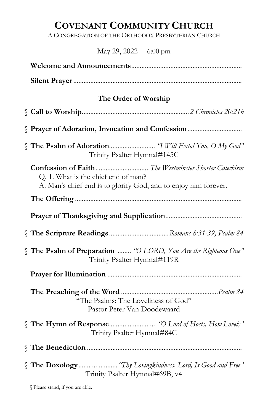# COVENANT COMMUNITY CHURCH

A CONGREGATION OF THE ORTHODOX PRESBYTERIAN CHURCH

# May 29, 2022 – 6:00 pm

| The Order of Worship                                                                                                                                           |
|----------------------------------------------------------------------------------------------------------------------------------------------------------------|
|                                                                                                                                                                |
|                                                                                                                                                                |
| Trinity Psalter Hymnal#145C                                                                                                                                    |
| Confession of FaithThe Westminster Shorter Catechism<br>Q. 1. What is the chief end of man?<br>A. Man's chief end is to glorify God, and to enjoy him forever. |
|                                                                                                                                                                |
|                                                                                                                                                                |
|                                                                                                                                                                |
| <i>S</i> The Psalm of Preparation  "O LORD, You Are the Righteous One"<br>Trinity Psalter Hymnal#119R                                                          |
|                                                                                                                                                                |
| "The Psalms: The Loveliness of God"<br>Pastor Peter Van Doodewaard                                                                                             |
| Trinity Psalter Hymnal#84C                                                                                                                                     |
|                                                                                                                                                                |
| The Doxology "Thy Lovingkindness, Lord, Is Good and Free"<br>Trinity Psalter Hymnal#69B, v4                                                                    |

§ Please stand, if you are able.